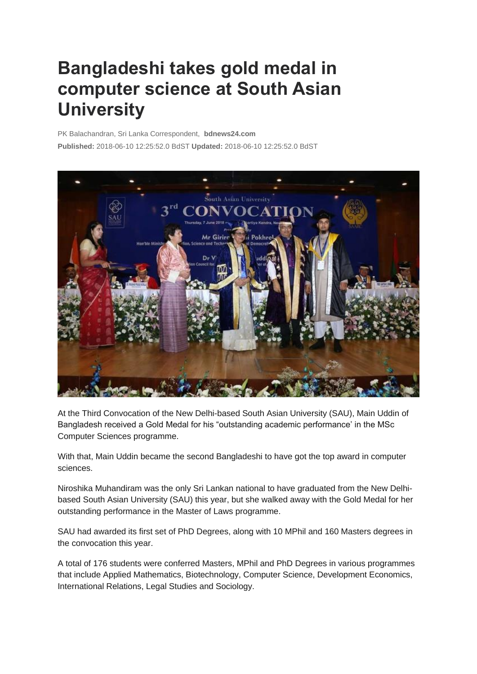## **Bangladeshi takes gold medal in computer science at South Asian University**

PK Balachandran, Sri Lanka Correspondent, **bdnews24.com**

**Published:** 2018-06-10 12:25:52.0 BdST **Updated:** 2018-06-10 12:25:52.0 BdST



At the Third Convocation of the New Delhi-based South Asian University (SAU), Main Uddin of Bangladesh received a Gold Medal for his "outstanding academic performance' in the MSc Computer Sciences programme.

With that, Main Uddin became the second Bangladeshi to have got the top award in computer sciences.

Niroshika Muhandiram was the only Sri Lankan national to have graduated from the New Delhibased South Asian University (SAU) this year, but she walked away with the Gold Medal for her outstanding performance in the Master of Laws programme.

SAU had awarded its first set of PhD Degrees, along with 10 MPhil and 160 Masters degrees in the convocation this year.

A total of 176 students were conferred Masters, MPhil and PhD Degrees in various programmes that include Applied Mathematics, Biotechnology, Computer Science, Development Economics, International Relations, Legal Studies and Sociology.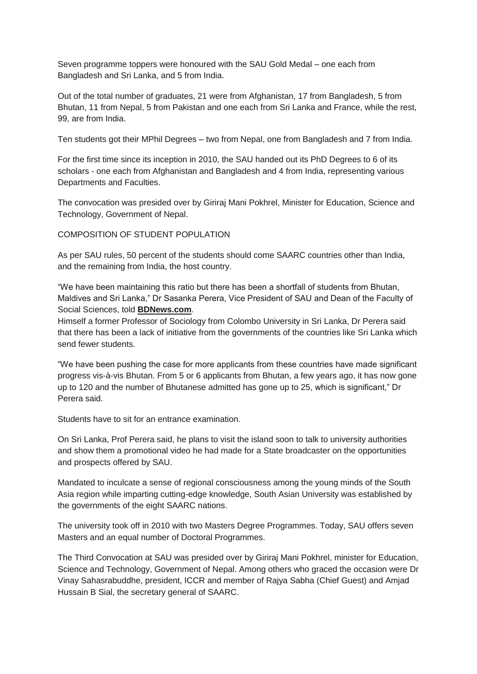Seven programme toppers were honoured with the SAU Gold Medal – one each from Bangladesh and Sri Lanka, and 5 from India.

Out of the total number of graduates, 21 were from Afghanistan, 17 from Bangladesh, 5 from Bhutan, 11 from Nepal, 5 from Pakistan and one each from Sri Lanka and France, while the rest, 99, are from India.

Ten students got their MPhil Degrees – two from Nepal, one from Bangladesh and 7 from India.

For the first time since its inception in 2010, the SAU handed out its PhD Degrees to 6 of its scholars - one each from Afghanistan and Bangladesh and 4 from India, representing various Departments and Faculties.

The convocation was presided over by Giriraj Mani Pokhrel, Minister for Education, Science and Technology, Government of Nepal.

COMPOSITION OF STUDENT POPULATION

As per SAU rules, 50 percent of the students should come SAARC countries other than India, and the remaining from India, the host country.

"We have been maintaining this ratio but there has been a shortfall of students from Bhutan, Maldives and Sri Lanka," Dr Sasanka Perera, Vice President of SAU and Dean of the Faculty of Social Sciences, told **[BDNews.com](http://bdnews.com/)**.

Himself a former Professor of Sociology from Colombo University in Sri Lanka, Dr Perera said that there has been a lack of initiative from the governments of the countries like Sri Lanka which send fewer students.

"We have been pushing the case for more applicants from these countries have made significant progress vis-à-vis Bhutan. From 5 or 6 applicants from Bhutan, a few years ago, it has now gone up to 120 and the number of Bhutanese admitted has gone up to 25, which is significant," Dr Perera said.

Students have to sit for an entrance examination.

On Sri Lanka, Prof Perera said, he plans to visit the island soon to talk to university authorities and show them a promotional video he had made for a State broadcaster on the opportunities and prospects offered by SAU.

Mandated to inculcate a sense of regional consciousness among the young minds of the South Asia region while imparting cutting-edge knowledge, South Asian University was established by the governments of the eight SAARC nations.

The university took off in 2010 with two Masters Degree Programmes. Today, SAU offers seven Masters and an equal number of Doctoral Programmes.

The Third Convocation at SAU was presided over by Giriraj Mani Pokhrel, minister for Education, Science and Technology, Government of Nepal. Among others who graced the occasion were Dr Vinay Sahasrabuddhe, president, ICCR and member of Rajya Sabha (Chief Guest) and Amjad Hussain B Sial, the secretary general of SAARC.